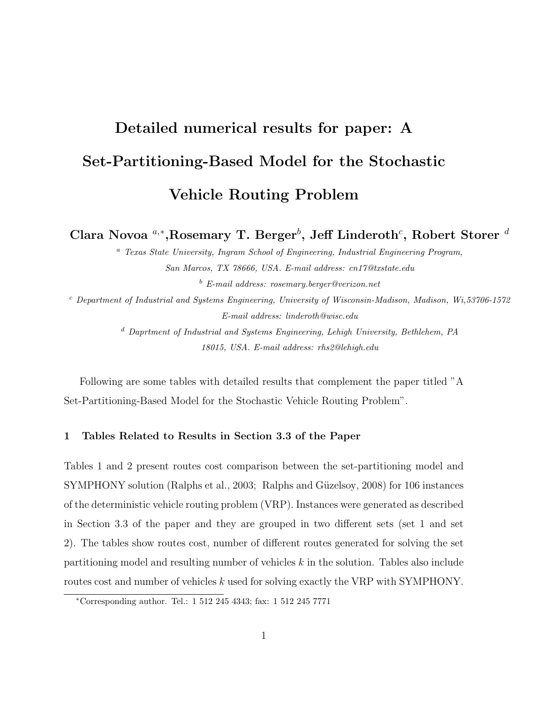## Detailed numerical results for paper: A Set-Partitioning-Based Model for the Stochastic Vehicle Routing Problem

Clara Novoa  $a, *$ , Rosemary T. Berger $^b$ , Jeff Linderoth $^c$ , Robert Storer  $^d$ 

<sup>a</sup> Texas State University, Ingram School of Engineering, Industrial Engineering Program, San Marcos, TX 78666, USA. E-mail address: cn17@txstate.edu  $b$  E-mail address: rosemary.berger@verizon.net

 $c$  Department of Industrial and Systems Engineering, University of Wisconsin-Madison, Madison, Wi,53706-1572 E-mail address: linderoth@wisc.edu

> <sup>d</sup> Daprtment of Industrial and Systems Engineering, Lehigh University, Bethlehem, PA 18015, USA. E-mail address: rhs2@lehigh.edu

Following are some tables with detailed results that complement the paper titled "A Set-Partitioning-Based Model for the Stochastic Vehicle Routing Problem".

## 1 Tables Related to Results in Section 3.3 of the Paper

Tables 1 and 2 present routes cost comparison between the set-partitioning model and SYMPHONY solution (Ralphs et al., 2003; Ralphs and Güzelsoy, 2008) for 106 instances of the deterministic vehicle routing problem (VRP). Instances were generated as described in Section 3.3 of the paper and they are grouped in two different sets (set 1 and set 2). The tables show routes cost, number of different routes generated for solving the set partitioning model and resulting number of vehicles k in the solution. Tables also include routes cost and number of vehicles k used for solving exactly the VRP with SYMPHONY.

<sup>∗</sup>Corresponding author. Tel.: 1 512 245 4343; fax: 1 512 245 7771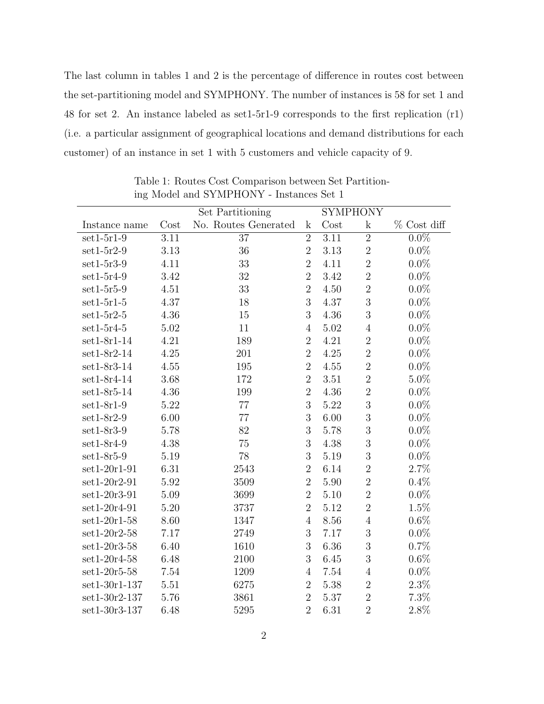The last column in tables 1 and 2 is the percentage of difference in routes cost between the set-partitioning model and SYMPHONY. The number of instances is 58 for set 1 and 48 for set 2. An instance labeled as set1-5r1-9 corresponds to the first replication (r1) (i.e. a particular assignment of geographical locations and demand distributions for each customer) of an instance in set 1 with 5 customers and vehicle capacity of 9.

|                |      | Set Partitioning     |                |          | <b>SYMPHONY</b> |               |
|----------------|------|----------------------|----------------|----------|-----------------|---------------|
| Instance name  | Cost | No. Routes Generated | $\mathbf{k}$   | Cost     | $\mathbf k$     | $%$ Cost diff |
| $set1-5r1-9$   | 3.11 | $\overline{37}$      | $\overline{2}$ | 3.11     | $\overline{2}$  | $0.0\%$       |
| $set1-5r2-9$   | 3.13 | 36                   | $\overline{2}$ | 3.13     | $\sqrt{2}$      | $0.0\%$       |
| $set1-5r3-9$   | 4.11 | 33                   | $\overline{2}$ | 4.11     | $\overline{2}$  | $0.0\%$       |
| $set1-5r4-9$   | 3.42 | 32                   | $\overline{2}$ | 3.42     | $\overline{2}$  | $0.0\%$       |
| $set1-5r5-9$   | 4.51 | 33                   | $\overline{2}$ | 4.50     | $\sqrt{2}$      | $0.0\%$       |
| $set1-5r1-5$   | 4.37 | 18                   | 3              | 4.37     | 3               | $0.0\%$       |
| $set1-5r2-5$   | 4.36 | 15                   | 3              | 4.36     | 3               | $0.0\%$       |
| $set1-5r4-5$   | 5.02 | 11                   | $\overline{4}$ | 5.02     | $\overline{4}$  | $0.0\%$       |
| $set1-8r1-14$  | 4.21 | 189                  | $\overline{2}$ | 4.21     | $\sqrt{2}$      | $0.0\%$       |
| $set1-8r2-14$  | 4.25 | 201                  | $\overline{2}$ | 4.25     | $\overline{2}$  | $0.0\%$       |
| $set1-8r3-14$  | 4.55 | 195                  | $\overline{2}$ | 4.55     | $\overline{2}$  | $0.0\%$       |
| $set1-8r4-14$  | 3.68 | 172                  | $\overline{2}$ | $3.51\,$ | $\sqrt{2}$      | $5.0\%$       |
| $set1-8r5-14$  | 4.36 | 199                  | $\overline{2}$ | 4.36     | $\overline{2}$  | $0.0\%$       |
| $set1-8r1-9$   | 5.22 | 77                   | 3              | 5.22     | 3               | $0.0\%$       |
| $set1-8r2-9$   | 6.00 | $77\,$               | 3              | 6.00     | $\overline{3}$  | $0.0\%$       |
| $set1-8r3-9$   | 5.78 | 82                   | 3              | 5.78     | $\overline{3}$  | $0.0\%$       |
| $set1-8r4-9$   | 4.38 | 75                   | 3              | 4.38     | 3               | $0.0\%$       |
| $set1-8r5-9$   | 5.19 | 78                   | $\mathfrak{Z}$ | 5.19     | $\mathfrak{Z}$  | $0.0\%$       |
| $set1-20r1-91$ | 6.31 | 2543                 | $\overline{2}$ | 6.14     | $\sqrt{2}$      | 2.7%          |
| $set1-20r2-91$ | 5.92 | 3509                 | $\overline{2}$ | 5.90     | $\overline{2}$  | 0.4%          |
| $set1-20r3-91$ | 5.09 | 3699                 | $\overline{2}$ | $5.10\,$ | $\overline{2}$  | $0.0\%$       |
| $set1-20r4-91$ | 5.20 | 3737                 | $\overline{2}$ | 5.12     | $\overline{2}$  | 1.5%          |
| $set1-20r1-58$ | 8.60 | 1347                 | $\overline{4}$ | 8.56     | $\overline{4}$  | $0.6\%$       |
| $set1-20r2-58$ | 7.17 | 2749                 | 3              | 7.17     | $\sqrt{3}$      | $0.0\%$       |
| $set1-20r3-58$ | 6.40 | 1610                 | 3              | 6.36     | 3               | 0.7%          |
| $set1-20r4-58$ | 6.48 | 2100                 | 3              | 6.45     | 3               | $0.6\%$       |
| $set1-20r5-58$ | 7.54 | 1209                 | $\overline{4}$ | 7.54     | $\overline{4}$  | $0.0\%$       |
| set1-30r1-137  | 5.51 | 6275                 | $\overline{2}$ | 5.38     | $\overline{2}$  | $2.3\%$       |
| set1-30r2-137  | 5.76 | 3861                 | $\overline{2}$ | 5.37     | $\overline{2}$  | 7.3%          |
| set1-30r3-137  | 6.48 | 5295                 | $\overline{2}$ | 6.31     | $\overline{2}$  | 2.8%          |

Table 1: Routes Cost Comparison between Set Partitioning Model and SYMPHONY - Instances Set 1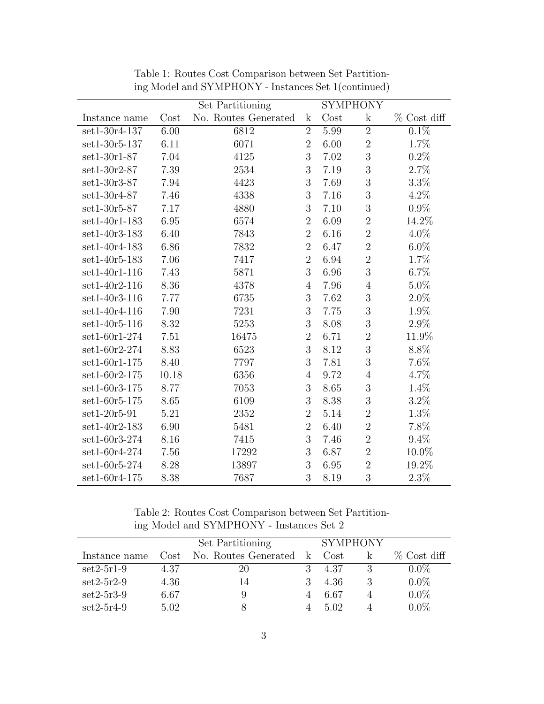|                 |       | Set Partitioning     |                | <b>SYMPHONY</b> |                |                    |
|-----------------|-------|----------------------|----------------|-----------------|----------------|--------------------|
| Instance name   | Cost  | No. Routes Generated | $\mathbf{k}$   | Cost            | $\mathbf k$    | $%$ Cost diff      |
| set1-30r4-137   | 6.00  | 6812                 | $\overline{2}$ | 5.99            | $\overline{2}$ | $0.\overline{1\%}$ |
| set1-30r5-137   | 6.11  | 6071                 | $\overline{2}$ | 6.00            | $\overline{2}$ | 1.7%               |
| $set1-30r1-87$  | 7.04  | 4125                 | 3              | 7.02            | 3              | 0.2%               |
| $set1-30r2-87$  | 7.39  | 2534                 | 3              | 7.19            | 3              | $2.7\%$            |
| $set1-30r3-87$  | 7.94  | 4423                 | $\mathfrak{Z}$ | 7.69            | 3              | $3.3\%$            |
| set1-30r4-87    | 7.46  | 4338                 | 3              | 7.16            | 3              | $4.2\%$            |
| $set1-30r5-87$  | 7.17  | 4880                 | 3              | 7.10            | 3              | $0.9\%$            |
| set1-40r1-183   | 6.95  | 6574                 | $\overline{2}$ | 6.09            | $\overline{2}$ | 14.2%              |
| set1-40r3-183   | 6.40  | 7843                 | $\overline{2}$ | 6.16            | $\overline{2}$ | 4.0%               |
| set1-40r4-183   | 6.86  | 7832                 | $\overline{2}$ | 6.47            | $\overline{2}$ | $6.0\%$            |
| set1-40r5-183   | 7.06  | 7417                 | $\overline{2}$ | 6.94            | $\overline{2}$ | 1.7%               |
| $set1-40r1-116$ | 7.43  | 5871                 | 3              | 6.96            | 3              | $6.7\%$            |
| $set1-40r2-116$ | 8.36  | 4378                 | $\overline{4}$ | 7.96            | $\overline{4}$ | $5.0\%$            |
| set1-40r3-116   | 7.77  | 6735                 | 3              | 7.62            | 3              | $2.0\%$            |
| set1-40r4-116   | 7.90  | 7231                 | 3              | 7.75            | 3              | 1.9%               |
| $set1-40r5-116$ | 8.32  | 5253                 | 3              | 8.08            | 3              | $2.9\%$            |
| set1-60r1-274   | 7.51  | 16475                | $\overline{2}$ | 6.71            | $\overline{2}$ | 11.9%              |
| set1-60r2-274   | 8.83  | 6523                 | 3              | 8.12            | 3              | 8.8%               |
| set1-60r1-175   | 8.40  | 7797                 | 3              | 7.81            | 3              | 7.6%               |
| $set1-60r2-175$ | 10.18 | 6356                 | $\overline{4}$ | 9.72            | $\overline{4}$ | 4.7%               |
| set1-60r3-175   | 8.77  | 7053                 | $\mathfrak{Z}$ | 8.65            | 3              | 1.4%               |
| $set1-60r5-175$ | 8.65  | 6109                 | 3              | 8.38            | 3              | $3.2\%$            |
| $set1-20r5-91$  | 5.21  | 2352                 | $\overline{2}$ | 5.14            | $\overline{2}$ | $1.3\%$            |
| set1-40r2-183   | 6.90  | 5481                 | $\overline{2}$ | 6.40            | $\overline{2}$ | 7.8%               |
| set1-60r3-274   | 8.16  | 7415                 | 3              | 7.46            | $\overline{2}$ | $9.4\%$            |
| set1-60r4-274   | 7.56  | 17292                | $\mathfrak{Z}$ | 6.87            | $\overline{2}$ | 10.0%              |
| set1-60r5-274   | 8.28  | 13897                | 3              | 6.95            | $\overline{2}$ | 19.2%              |
| set1-60r4-175   | 8.38  | 7687                 | 3              | 8.19            | 3              | $2.3\%$            |

Table 1: Routes Cost Comparison between Set Partitioning Model and SYMPHONY - Instances Set 1(continued)

Table 2: Routes Cost Comparison between Set Partitioning Model and SYMPHONY - Instances Set 2

|               | Set Partitioning |                      |              | <b>SYMPHONY</b> |  |               |
|---------------|------------------|----------------------|--------------|-----------------|--|---------------|
| Instance name | Cost             | No. Routes Generated | $\mathbf{k}$ | Cost            |  | $%$ Cost diff |
| $set2-5r1-9$  | 4.37             | 20                   |              | 4.37            |  | $0.0\%$       |
| $set2-5r2-9$  | 4.36             | 14                   |              | 4.36            |  | $0.0\%$       |
| $set2-5r3-9$  | 6.67             |                      |              | 6.67            |  | $0.0\%$       |
| $set2-5r4-9$  | 5.02             |                      |              | 5.02            |  | $0.0\%$       |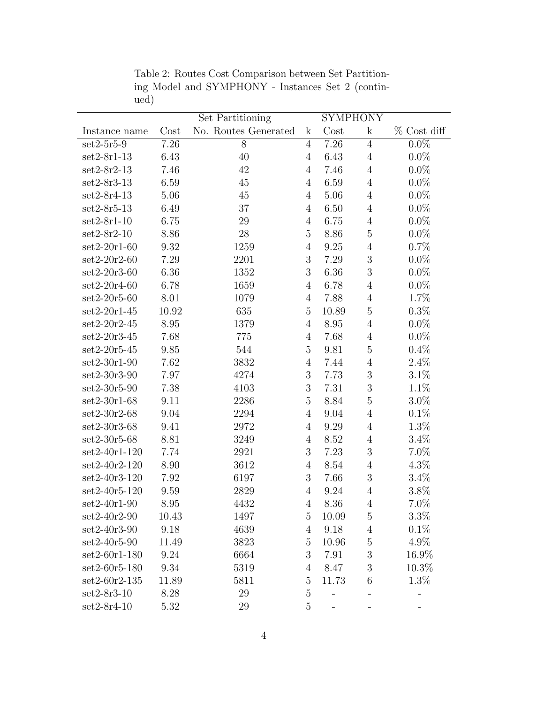|                 |       | Set Partitioning     |                |       | <b>SYMPHONY</b>          |                    |  |
|-----------------|-------|----------------------|----------------|-------|--------------------------|--------------------|--|
| Instance name   | Cost  | No. Routes Generated | $\mathbf k$    | Cost  | $\mathbf k$              | % Cost diff        |  |
| $set2-5r5-9$    | 7.26  | 8                    | $\overline{4}$ | 7.26  | $\overline{4}$           | $\overline{0.0\%}$ |  |
| $set2-8r1-13$   | 6.43  | 40                   | $\overline{4}$ | 6.43  | $\overline{4}$           | $0.0\%$            |  |
| $set2-8r2-13$   | 7.46  | 42                   | $\overline{4}$ | 7.46  | $\overline{4}$           | $0.0\%$            |  |
| $set2-8r3-13$   | 6.59  | 45                   | $\overline{4}$ | 6.59  | $\,4\,$                  | $0.0\%$            |  |
| $set2-8r4-13$   | 5.06  | $45\,$               | $\overline{4}$ | 5.06  | $\overline{4}$           | $0.0\%$            |  |
| $set2-8r5-13$   | 6.49  | 37                   | $\overline{4}$ | 6.50  | $\overline{4}$           | $0.0\%$            |  |
| $set2-8r1-10$   | 6.75  | 29                   | $\overline{4}$ | 6.75  | $\overline{4}$           | $0.0\%$            |  |
| $set2-8r2-10$   | 8.86  | 28                   | $\overline{5}$ | 8.86  | $\overline{5}$           | $0.0\%$            |  |
| $set2-20r1-60$  | 9.32  | 1259                 | $\overline{4}$ | 9.25  | $\,4\,$                  | 0.7%               |  |
| $set2-20r2-60$  | 7.29  | 2201                 | 3              | 7.29  | $\overline{3}$           | $0.0\%$            |  |
| $set2-20r3-60$  | 6.36  | 1352                 | 3              | 6.36  | 3                        | $0.0\%$            |  |
| $set2-20r4-60$  | 6.78  | 1659                 | $\overline{4}$ | 6.78  | $\overline{4}$           | $0.0\%$            |  |
| $set2-20r5-60$  | 8.01  | 1079                 | $\overline{4}$ | 7.88  | $\overline{4}$           | 1.7%               |  |
| $set2-20r1-45$  | 10.92 | 635                  | $\overline{5}$ | 10.89 | $\overline{5}$           | 0.3%               |  |
| $set2-20r2-45$  | 8.95  | 1379                 | $\overline{4}$ | 8.95  | $\overline{4}$           | $0.0\%$            |  |
| $set2-20r3-45$  | 7.68  | 775                  | $\overline{4}$ | 7.68  | $\overline{4}$           | $0.0\%$            |  |
| $set2-20r5-45$  | 9.85  | 544                  | $\overline{5}$ | 9.81  | $\mathbf 5$              | 0.4%               |  |
| $set2-30r1-90$  | 7.62  | 3832                 | $\overline{4}$ | 7.44  | $\overline{4}$           | 2.4%               |  |
| $set2-30r3-90$  | 7.97  | 4274                 | 3              | 7.73  | $\mathfrak{Z}$           | 3.1%               |  |
| $set2-30r5-90$  | 7.38  | 4103                 | $\mathfrak{Z}$ | 7.31  | $\overline{3}$           | $1.1\%$            |  |
| $set2-30r1-68$  | 9.11  | 2286                 | $\overline{5}$ | 8.84  | $\overline{5}$           | $3.0\%$            |  |
| $set2-30r2-68$  | 9.04  | 2294                 | $\overline{4}$ | 9.04  | $\overline{4}$           | $0.1\%$            |  |
| $set2-30r3-68$  | 9.41  | 2972                 | $\overline{4}$ | 9.29  | $\,4\,$                  | 1.3%               |  |
| $set2-30r5-68$  | 8.81  | 3249                 | $\overline{4}$ | 8.52  | $\overline{4}$           | 3.4%               |  |
| $set2-40r1-120$ | 7.74  | 2921                 | 3              | 7.23  | $\mathfrak{Z}$           | $7.0\%$            |  |
| $set2-40r2-120$ | 8.90  | 3612                 | $\overline{4}$ | 8.54  | $\,4\,$                  | 4.3%               |  |
| set2-40r3-120   | 7.92  | 6197                 | 3              | 7.66  | $\sqrt{3}$               | $3.4\%$            |  |
| $set2-40r5-120$ | 9.59  | 2829                 | $\overline{4}$ | 9.24  | $\,4\,$                  | 3.8%               |  |
| $set2-40r1-90$  | 8.95  | 4432                 | $\overline{4}$ | 8.36  | $\overline{4}$           | 7.0%               |  |
| $set2-40r2-90$  | 10.43 | 1497                 | 5              | 10.09 | 5                        | $3.3\%$            |  |
| $set2-40r3-90$  | 9.18  | 4639                 | $\overline{4}$ | 9.18  | $\,4\,$                  | 0.1%               |  |
| $set2-40r5-90$  | 11.49 | 3823                 | $\overline{5}$ | 10.96 | $\bf 5$                  | 4.9%               |  |
| $set2-60r1-180$ | 9.24  | 6664                 | $\mathfrak{Z}$ | 7.91  | 3                        | 16.9%              |  |
| $set2-60r5-180$ | 9.34  | 5319                 | $\overline{4}$ | 8.47  | $\mathfrak{Z}$           | 10.3%              |  |
| $set2-60r2-135$ | 11.89 | 5811                 | $\overline{5}$ | 11.73 | $\boldsymbol{6}$         | 1.3%               |  |
| $set2-8r3-10$   | 8.28  | 29                   | $\overline{5}$ |       |                          |                    |  |
| $set2-8r4-10$   | 5.32  | 29                   | $\bf 5$        |       | $\overline{\phantom{a}}$ | $\blacksquare$     |  |

Table 2: Routes Cost Comparison between Set Partitioning Model and SYMPHONY - Instances Set 2 (continued)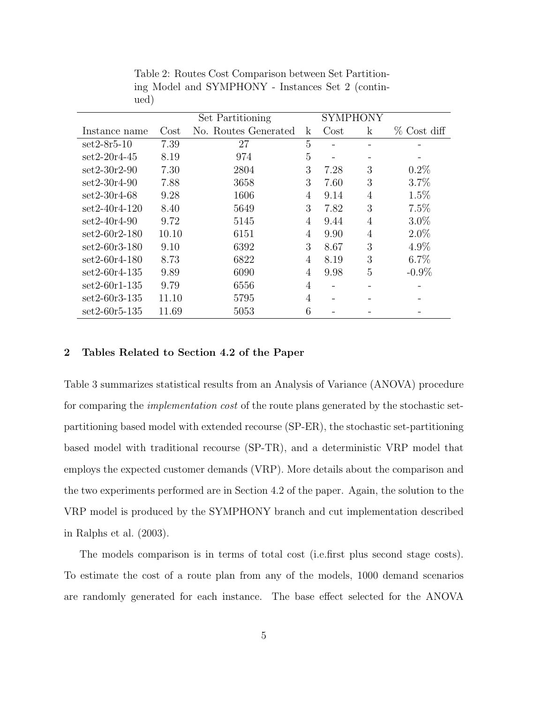|                 |       | Set Partitioning     |                | SYMPHONY |             |             |
|-----------------|-------|----------------------|----------------|----------|-------------|-------------|
| Instance name   | Cost  | No. Routes Generated | k              | $\cos t$ | $\mathbf k$ | % Cost diff |
| $set2-8r5-10$   | 7.39  | 27                   | 5              |          |             |             |
| $set2-20r4-45$  | 8.19  | 974                  | $\overline{5}$ |          |             |             |
| $set2-30r2-90$  | 7.30  | 2804                 | 3              | 7.28     | 3           | $0.2\%$     |
| $set2-30r4-90$  | 7.88  | 3658                 | 3              | 7.60     | 3           | 3.7%        |
| $set2-30r4-68$  | 9.28  | 1606                 | 4              | 9.14     | 4           | 1.5%        |
| $set2-40r4-120$ | 8.40  | 5649                 | 3              | 7.82     | 3           | 7.5%        |
| $set2-40r4-90$  | 9.72  | 5145                 | 4              | 9.44     | 4           | $3.0\%$     |
| $set2-60r2-180$ | 10.10 | 6151                 | $\overline{4}$ | 9.90     | 4           | $2.0\%$     |
| $set2-60r3-180$ | 9.10  | 6392                 | 3              | 8.67     | 3           | $4.9\%$     |
| $set2-60r4-180$ | 8.73  | 6822                 | 4              | 8.19     | 3           | $6.7\%$     |
| $set2-60r4-135$ | 9.89  | 6090                 | 4              | 9.98     | 5           | $-0.9\%$    |
| $set2-60r1-135$ | 9.79  | 6556                 | 4              |          |             |             |
| $set2-60r3-135$ | 11.10 | 5795                 | $\overline{4}$ |          |             |             |
| $set2-60r5-135$ | 11.69 | 5053                 | 6              |          |             |             |

Table 2: Routes Cost Comparison between Set Partitioning Model and SYMPHONY - Instances Set 2 (continued)

## 2 Tables Related to Section 4.2 of the Paper

Table 3 summarizes statistical results from an Analysis of Variance (ANOVA) procedure for comparing the *implementation cost* of the route plans generated by the stochastic setpartitioning based model with extended recourse (SP-ER), the stochastic set-partitioning based model with traditional recourse (SP-TR), and a deterministic VRP model that employs the expected customer demands (VRP). More details about the comparison and the two experiments performed are in Section 4.2 of the paper. Again, the solution to the VRP model is produced by the SYMPHONY branch and cut implementation described in Ralphs et al. (2003).

The models comparison is in terms of total cost (i.e.first plus second stage costs). To estimate the cost of a route plan from any of the models, 1000 demand scenarios are randomly generated for each instance. The base effect selected for the ANOVA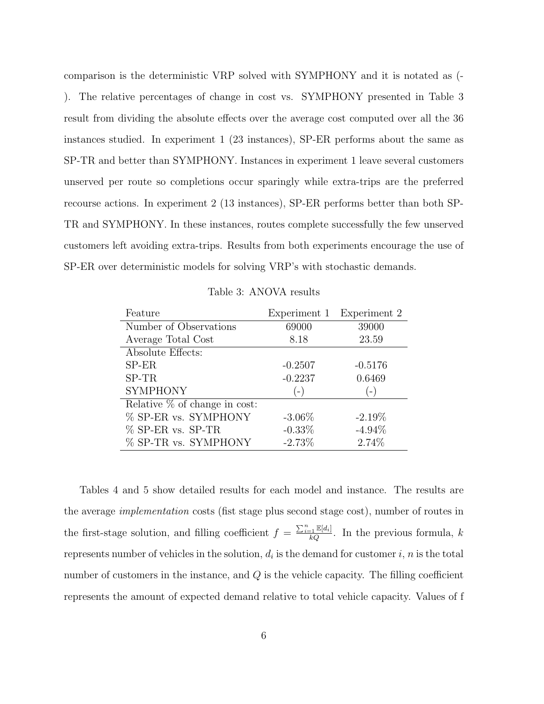comparison is the deterministic VRP solved with SYMPHONY and it is notated as (- ). The relative percentages of change in cost vs. SYMPHONY presented in Table 3 result from dividing the absolute effects over the average cost computed over all the 36 instances studied. In experiment 1 (23 instances), SP-ER performs about the same as SP-TR and better than SYMPHONY. Instances in experiment 1 leave several customers unserved per route so completions occur sparingly while extra-trips are the preferred recourse actions. In experiment 2 (13 instances), SP-ER performs better than both SP-TR and SYMPHONY. In these instances, routes complete successfully the few unserved customers left avoiding extra-trips. Results from both experiments encourage the use of SP-ER over deterministic models for solving VRP's with stochastic demands.

Table 3: ANOVA results

| Feature                         |           | Experiment 1 Experiment 2 |
|---------------------------------|-----------|---------------------------|
| Number of Observations          | 69000     | 39000                     |
| Average Total Cost              | 8.18      | 23.59                     |
| Absolute Effects:               |           |                           |
| $SP-ER$                         | $-0.2507$ | $-0.5176$                 |
| $SP-TR$                         | $-0.2237$ | 0.6469                    |
| <b>SYMPHONY</b>                 | $(-)$     | $-$                       |
| Relative $%$ of change in cost: |           |                           |
| % SP-ER vs. SYMPHONY            | $-3.06\%$ | $-2.19\%$                 |
| % SP-ER vs. SP-TR               | $-0.33%$  | $-4.94\%$                 |
| % SP-TR vs. SYMPHONY            | $-2.73%$  | 2.74%                     |

Tables 4 and 5 show detailed results for each model and instance. The results are the average implementation costs (fist stage plus second stage cost), number of routes in the first-stage solution, and filling coefficient  $f = \frac{\sum_{i=1}^n \mathbb{E}[d_i]}{kQ}$ . In the previous formula, k represents number of vehicles in the solution,  $d_i$  is the demand for customer  $i, n$  is the total number of customers in the instance, and  $Q$  is the vehicle capacity. The filling coefficient represents the amount of expected demand relative to total vehicle capacity. Values of f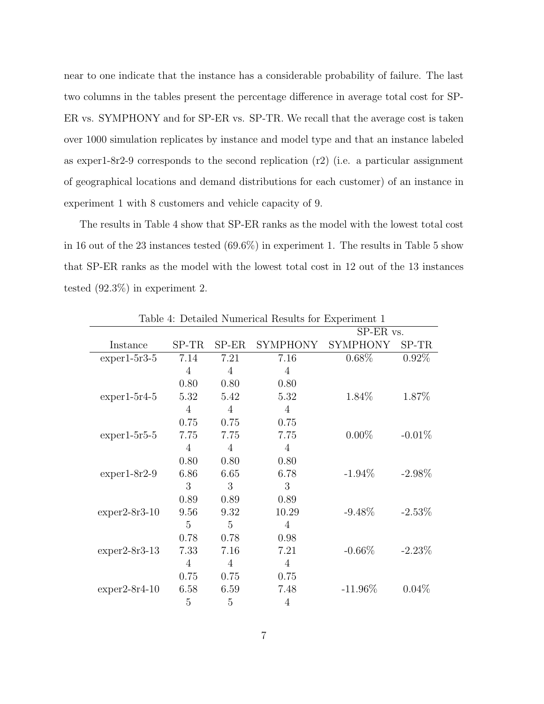near to one indicate that the instance has a considerable probability of failure. The last two columns in the tables present the percentage difference in average total cost for SP-ER vs. SYMPHONY and for SP-ER vs. SP-TR. We recall that the average cost is taken over 1000 simulation replicates by instance and model type and that an instance labeled as exper1-8r2-9 corresponds to the second replication (r2) (i.e. a particular assignment of geographical locations and demand distributions for each customer) of an instance in experiment 1 with 8 customers and vehicle capacity of 9.

The results in Table 4 show that SP-ER ranks as the model with the lowest total cost in 16 out of the 23 instances tested (69.6%) in experiment 1. The results in Table 5 show that SP-ER ranks as the model with the lowest total cost in 12 out of the 13 instances tested (92.3%) in experiment 2.

|                 |                |                |                 | $SP-ER$ vs.     |           |
|-----------------|----------------|----------------|-----------------|-----------------|-----------|
| Instance        | $SP-TR$        | $SP-ER$        | <b>SYMPHONY</b> | <b>SYMPHONY</b> | $SP-TR$   |
| $exper1-5r3-5$  | 7.14           | 7.21           | 7.16            | 0.68%           | $0.92\%$  |
|                 | $\overline{4}$ | 4              | $\overline{4}$  |                 |           |
|                 | 0.80           | 0.80           | 0.80            |                 |           |
| $exper1-5r4-5$  | 5.32           | 5.42           | 5.32            | 1.84\%          | 1.87%     |
|                 | 4              | 4              | 4               |                 |           |
|                 | 0.75           | 0.75           | 0.75            |                 |           |
| $exper1-5r5-5$  | 7.75           | 7.75           | 7.75            | $0.00\%$        | $-0.01%$  |
|                 | $\overline{4}$ | $\overline{4}$ | $\overline{4}$  |                 |           |
|                 | 0.80           | 0.80           | 0.80            |                 |           |
| $exper1-8r2-9$  | 6.86           | 6.65           | 6.78            | $-1.94\%$       | $-2.98\%$ |
|                 | 3              | 3              | 3               |                 |           |
|                 | 0.89           | 0.89           | 0.89            |                 |           |
| $exper2-8r3-10$ | 9.56           | 9.32           | 10.29           | $-9.48\%$       | $-2.53\%$ |
|                 | $\overline{5}$ | 5              | $\overline{4}$  |                 |           |
|                 | 0.78           | 0.78           | 0.98            |                 |           |
| $exper2-8r3-13$ | 7.33           | 7.16           | 7.21            | $-0.66%$        | $-2.23\%$ |
|                 | $\overline{4}$ | $\overline{4}$ | $\overline{4}$  |                 |           |
|                 | 0.75           | 0.75           | 0.75            |                 |           |
| $exper2-8r4-10$ | 6.58           | 6.59           | 7.48            | $-11.96\%$      | $0.04\%$  |
|                 | 5              | 5              | 4               |                 |           |

Table 4: Detailed Numerical Results for Experiment 1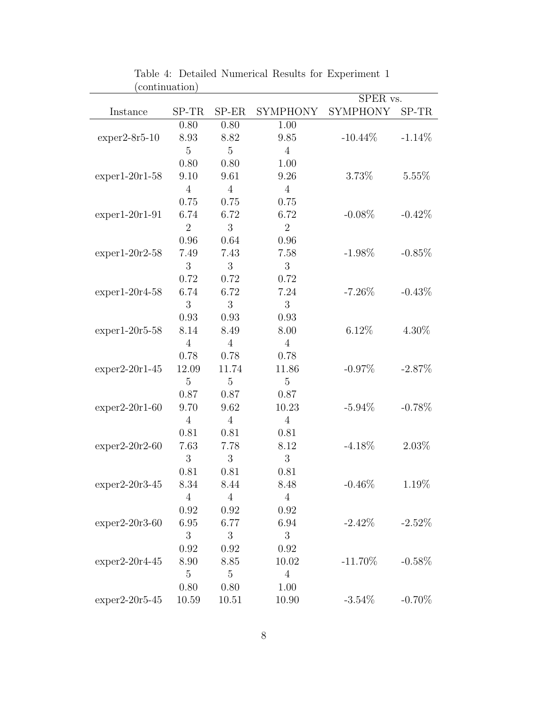| (commutation)    |                |                |                 | SPER vs.        |           |  |
|------------------|----------------|----------------|-----------------|-----------------|-----------|--|
| Instance         | SP-TR          | $SP-ER$        | <b>SYMPHONY</b> | <b>SYMPHONY</b> | SP-TR     |  |
|                  | 0.80           | 0.80           | 1.00            |                 |           |  |
| $exper2-8r5-10$  | 8.93           | 8.82           | 9.85            | $-10.44\%$      | $-1.14%$  |  |
|                  | $\overline{5}$ | $\overline{5}$ | $\overline{4}$  |                 |           |  |
|                  | 0.80           | 0.80           | 1.00            |                 |           |  |
| $exper1-20r1-58$ | 9.10           | 9.61           | 9.26            | 3.73%           | 5.55%     |  |
|                  | $\overline{4}$ | $\overline{4}$ | $\overline{4}$  |                 |           |  |
|                  | 0.75           | 0.75           | 0.75            |                 |           |  |
| $exper1-20r1-91$ | 6.74           | 6.72           | 6.72            | $-0.08%$        | $-0.42%$  |  |
|                  | $\overline{2}$ | 3              | $\overline{2}$  |                 |           |  |
|                  | 0.96           | 0.64           | 0.96            |                 |           |  |
| $exper1-20r2-58$ | 7.49           | 7.43           | 7.58            | $-1.98\%$       | $-0.85%$  |  |
|                  | 3              | 3              | 3               |                 |           |  |
|                  | 0.72           | 0.72           | 0.72            |                 |           |  |
| $exper1-20r4-58$ | 6.74           | 6.72           | 7.24            | $-7.26%$        | $-0.43%$  |  |
|                  | 3              | 3              | 3               |                 |           |  |
|                  | 0.93           | 0.93           | 0.93            |                 |           |  |
| $exper1-20r5-58$ | 8.14           | 8.49           | 8.00            | 6.12%           | 4.30\%    |  |
|                  | $\overline{4}$ | $\overline{4}$ | $\overline{4}$  |                 |           |  |
|                  | 0.78           | 0.78           | 0.78            |                 |           |  |
| $exper2-20r1-45$ | 12.09          | 11.74          | 11.86           | $-0.97\%$       | $-2.87\%$ |  |
|                  | 5              | $\overline{5}$ | $\overline{5}$  |                 |           |  |
|                  | 0.87           | 0.87           | 0.87            |                 |           |  |
| $exper2-20r1-60$ | 9.70           | 9.62           | 10.23           | $-5.94\%$       | $-0.78\%$ |  |
|                  | $\overline{4}$ | $\overline{4}$ | $\overline{4}$  |                 |           |  |
|                  | 0.81           | 0.81           | 0.81            |                 |           |  |
| $exper2-20r2-60$ | 7.63           | 7.78           | 8.12            | $-4.18\%$       | $2.03\%$  |  |
|                  | 3              | 3              | 3               |                 |           |  |
|                  | 0.81           | 0.81           | 0.81            |                 |           |  |
| $exper2-20r3-45$ | 8.34           | 8.44           | 8.48            | $-0.46\%$       | $1.19\%$  |  |
|                  | $\overline{4}$ | $\overline{4}$ | $\overline{4}$  |                 |           |  |
|                  | 0.92           | 0.92           | 0.92            |                 |           |  |
| $exper2-20r3-60$ | 6.95           | 6.77           | 6.94            | $-2.42\%$       | $-2.52\%$ |  |
|                  | 3              | 3              | 3               |                 |           |  |
|                  | 0.92           | 0.92           | 0.92            |                 |           |  |
| $exper2-20r4-45$ | 8.90           | 8.85           | 10.02           | $-11.70\%$      | $-0.58\%$ |  |
|                  | $\overline{5}$ | $\overline{5}$ | $\overline{4}$  |                 |           |  |
|                  | 0.80           | 0.80           | 1.00            |                 |           |  |
| $exper2-20r5-45$ | 10.59          | 10.51          | 10.90           | $-3.54\%$       | $-0.70\%$ |  |

Table 4: Detailed Numerical Results for Experiment 1 (continuation)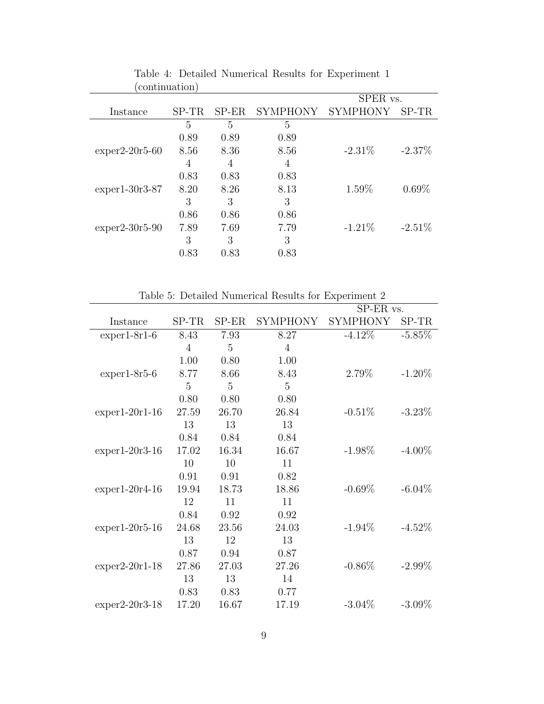|                  | communication |         |                 |                 |           |
|------------------|---------------|---------|-----------------|-----------------|-----------|
|                  |               |         |                 | SPER vs.        |           |
| Instance         | $SP-TR$       | $SP-ER$ | <b>SYMPHONY</b> | <b>SYMPHONY</b> | SP-TR     |
|                  | 5             | 5       | 5               |                 |           |
|                  | 0.89          | 0.89    | 0.89            |                 |           |
| $exper2-20r5-60$ | 8.56          | 8.36    | 8.56            | $-2.31\%$       | $-2.37\%$ |
|                  | 4             | 4       | 4               |                 |           |
|                  | 0.83          | 0.83    | 0.83            |                 |           |
| $exper1-30r3-87$ | 8.20          | 8.26    | 8.13            | 1.59%           | $0.69\%$  |
|                  | 3             | 3       | 3               |                 |           |
|                  | 0.86          | 0.86    | 0.86            |                 |           |
| $exper2-30r5-90$ | 7.89          | 7.69    | 7.79            | $-1.21\%$       | $-2.51\%$ |
|                  | 3             | 3       | 3               |                 |           |
|                  | 0.83          | 0.83    | 0.83            |                 |           |

Table 4: Detailed Numerical Results for Experiment 1 (continuation)

| Table 5: Detailed Numerical Results for Experiment 2 |                |                |                 |                 |           |  |
|------------------------------------------------------|----------------|----------------|-----------------|-----------------|-----------|--|
|                                                      |                |                |                 | SP-ER vs.       |           |  |
| Instance                                             | $SP-TR$        | $SP-ER$        | <b>SYMPHONY</b> | <b>SYMPHONY</b> | SP-TR     |  |
| $exper1-8r1-6$                                       | 8.43           | 7.93           | 8.27            | $-4.12\%$       | $-5.85%$  |  |
|                                                      | $\overline{4}$ | 5              | $\overline{4}$  |                 |           |  |
|                                                      | 1.00           | 0.80           | 1.00            |                 |           |  |
| $exper1-8r5-6$                                       | 8.77           | 8.66           | 8.43            | 2.79%           | $-1.20\%$ |  |
|                                                      | 5              | $\overline{5}$ | 5               |                 |           |  |
|                                                      | 0.80           | 0.80           | 0.80            |                 |           |  |
| $exper1-20r1-16$                                     | 27.59          | 26.70          | 26.84           | $-0.51%$        | $-3.23\%$ |  |
|                                                      | 13             | 13             | 13              |                 |           |  |
|                                                      | 0.84           | 0.84           | 0.84            |                 |           |  |
| $exper1-20r3-16$                                     | 17.02          | 16.34          | 16.67           | $-1.98\%$       | $-4.00\%$ |  |
|                                                      | 10             | 10             | 11              |                 |           |  |
|                                                      | 0.91           | 0.91           | 0.82            |                 |           |  |
| $exper1-20r4-16$                                     | 19.94          | 18.73          | 18.86           | $-0.69\%$       | $-6.04\%$ |  |
|                                                      | 12             | 11             | 11              |                 |           |  |
|                                                      | 0.84           | 0.92           | 0.92            |                 |           |  |
| $exper1-20r5-16$                                     | 24.68          | 23.56          | 24.03           | $-1.94\%$       | $-4.52\%$ |  |
|                                                      | 13             | 12             | 13              |                 |           |  |
|                                                      | 0.87           | 0.94           | 0.87            |                 |           |  |
| $exper2-20r1-18$                                     | 27.86          | 27.03          | 27.26           | $-0.86\%$       | $-2.99\%$ |  |
|                                                      | 13             | 13             | 14              |                 |           |  |
|                                                      | 0.83           | 0.83           | 0.77            |                 |           |  |
| $exper2-20r3-18$                                     | 17.20          | 16.67          | 17.19           | $-3.04\%$       | $-3.09\%$ |  |